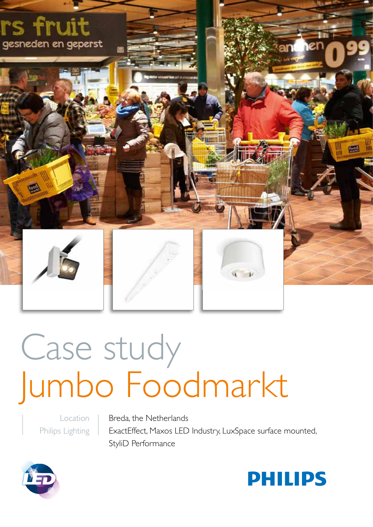

# Case study Jumbo Foodmarkt

Location Philips Lighting

Breda, the Netherlands ExactEffect, Maxos LED Industry, LuxSpace surface mounted, StyliD Performance



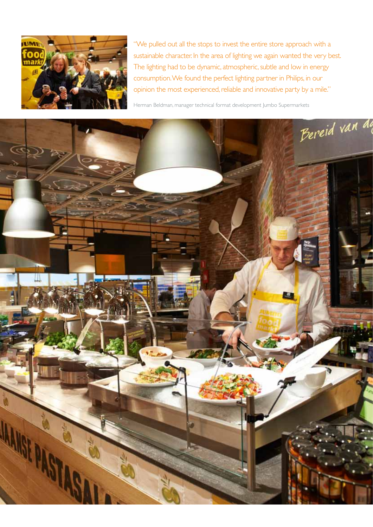

"We pulled out all the stops to invest the entire store approach with a sustainable character. In the area of lighting we again wanted the very best. The lighting had to be dynamic, atmospheric, subtle and low in energy consumption. We found the perfect lighting partner in Philips, in our opinion the most experienced, reliable and innovative party by a mile."

Herman Beldman, manager technical format development Jumbo Supermarkets

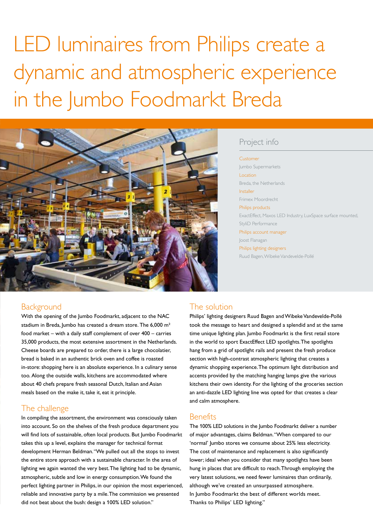## LED luminaires from Philips create a dynamic and atmospheric experience in the Jumbo Foodmarkt Breda



### Project info

#### Customer

Jumbo Supermarkets Location Breda, the Netherlands Installer Frimex Moordrecht Philips products ExactEffect, Maxos LED Industry, LuxSpace surface mounted, StyliD Performance Philips account manager Joost Flanagan Philips lighting designers Ruud Bagen, Wibeke Vandevelde-Pollé

#### **Background**

With the opening of the Jumbo Foodmarkt, adjacent to the NAC stadium in Breda, Jumbo has created a dream store. The 6,000 m<sup>2</sup> food market – with a daily staff complement of over 400 – carries 35,000 products, the most extensive assortment in the Netherlands. Cheese boards are prepared to order, there is a large chocolatier, bread is baked in an authentic brick oven and coffee is roasted in-store: shopping here is an absolute experience. In a culinary sense too. Along the outside walls, kitchens are accommodated where about 40 chefs prepare fresh seasonal Dutch, Italian and Asian meals based on the make it, take it, eat it principle.

#### The challenge

In compiling the assortment, the environment was consciously taken into account. So on the shelves of the fresh produce department you will find lots of sustainable, often local products. But Jumbo Foodmarkt takes this up a level, explains the manager for technical format development Herman Beldman. "We pulled out all the stops to invest the entire store approach with a sustainable character. In the area of lighting we again wanted the very best. The lighting had to be dynamic, atmospheric, subtle and low in energy consumption. We found the perfect lighting partner in Philips, in our opinion the most experienced, reliable and innovative party by a mile. The commission we presented did not beat about the bush: design a 100% LED solution."

#### The solution

Philips' lighting designers Ruud Bagen and Wibeke Vandevelde-Pollé took the message to heart and designed a splendid and at the same time unique lighting plan. Jumbo Foodmarkt is the first retail store in the world to sport ExactEffect LED spotlights. The spotlights hang from a grid of spotlight rails and present the fresh produce section with high-contrast atmospheric lighting that creates a dynamic shopping experience. The optimum light distribution and accents provided by the matching hanging lamps give the various kitchens their own identity. For the lighting of the groceries section an anti-dazzle LED lighting line was opted for that creates a clear and calm atmosphere.

#### **Benefits**

The 100% LED solutions in the Jumbo Foodmarkt deliver a number of major advantages, claims Beldman. "When compared to our 'normal' Jumbo stores we consume about 25% less electricity. The cost of maintenance and replacement is also significantly lower; ideal when you consider that many spotlights have been hung in places that are difficult to reach. Through employing the very latest solutions, we need fewer luminaires than ordinarily, although we've created an unsurpassed atmosphere. In Jumbo Foodmarkt the best of different worlds meet. Thanks to Philips' LED lighting."